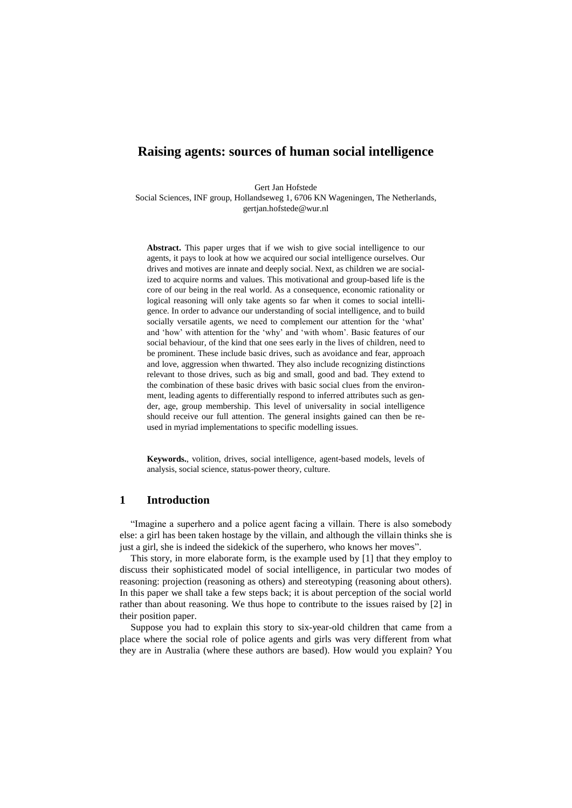# **Raising agents: sources of human social intelligence**

Gert Jan Hofstede

Social Sciences, INF group, Hollandseweg 1, 6706 KN Wageningen, The Netherlands, gertjan.hofstede@wur.nl

**Abstract.** This paper urges that if we wish to give social intelligence to our agents, it pays to look at how we acquired our social intelligence ourselves. Our drives and motives are innate and deeply social. Next, as children we are socialized to acquire norms and values. This motivational and group-based life is the core of our being in the real world. As a consequence, economic rationality or logical reasoning will only take agents so far when it comes to social intelligence. In order to advance our understanding of social intelligence, and to build socially versatile agents, we need to complement our attention for the 'what' and 'how' with attention for the 'why' and 'with whom'. Basic features of our social behaviour, of the kind that one sees early in the lives of children, need to be prominent. These include basic drives, such as avoidance and fear, approach and love, aggression when thwarted. They also include recognizing distinctions relevant to those drives, such as big and small, good and bad. They extend to the combination of these basic drives with basic social clues from the environment, leading agents to differentially respond to inferred attributes such as gender, age, group membership. This level of universality in social intelligence should receive our full attention. The general insights gained can then be reused in myriad implementations to specific modelling issues.

**Keywords.**, volition, drives, social intelligence, agent-based models, levels of analysis, social science, status-power theory, culture.

## **1 Introduction**

"Imagine a superhero and a police agent facing a villain. There is also somebody else: a girl has been taken hostage by the villain, and although the villain thinks she is just a girl, she is indeed the sidekick of the superhero, who knows her moves".

This story, in more elaborate form, is the example used by [\[1\]](#page-10-0) that they employ to discuss their sophisticated model of social intelligence, in particular two modes of reasoning: projection (reasoning as others) and stereotyping (reasoning about others). In this paper we shall take a few steps back; it is about perception of the social world rather than about reasoning. We thus hope to contribute to the issues raised by [\[2\]](#page-10-1) in their position paper.

Suppose you had to explain this story to six-year-old children that came from a place where the social role of police agents and girls was very different from what they are in Australia (where these authors are based). How would you explain? You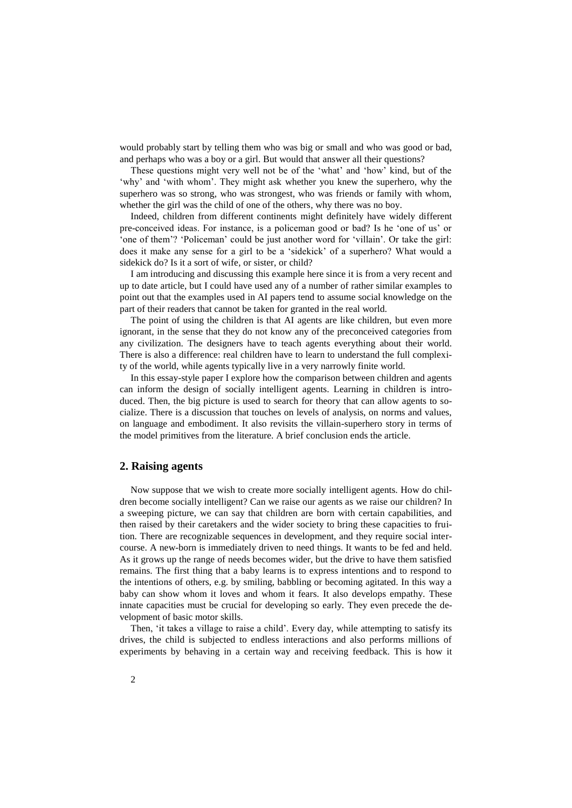would probably start by telling them who was big or small and who was good or bad, and perhaps who was a boy or a girl. But would that answer all their questions?

These questions might very well not be of the 'what' and 'how' kind, but of the 'why' and 'with whom'. They might ask whether you knew the superhero, why the superhero was so strong, who was strongest, who was friends or family with whom, whether the girl was the child of one of the others, why there was no boy.

Indeed, children from different continents might definitely have widely different pre-conceived ideas. For instance, is a policeman good or bad? Is he 'one of us' or 'one of them'? 'Policeman' could be just another word for 'villain'. Or take the girl: does it make any sense for a girl to be a 'sidekick' of a superhero? What would a sidekick do? Is it a sort of wife, or sister, or child?

I am introducing and discussing this example here since it is from a very recent and up to date article, but I could have used any of a number of rather similar examples to point out that the examples used in AI papers tend to assume social knowledge on the part of their readers that cannot be taken for granted in the real world.

The point of using the children is that AI agents are like children, but even more ignorant, in the sense that they do not know any of the preconceived categories from any civilization. The designers have to teach agents everything about their world. There is also a difference: real children have to learn to understand the full complexity of the world, while agents typically live in a very narrowly finite world.

In this essay-style paper I explore how the comparison between children and agents can inform the design of socially intelligent agents. Learning in children is introduced. Then, the big picture is used to search for theory that can allow agents to socialize. There is a discussion that touches on levels of analysis, on norms and values, on language and embodiment. It also revisits the villain-superhero story in terms of the model primitives from the literature. A brief conclusion ends the article.

### **2. Raising agents**

Now suppose that we wish to create more socially intelligent agents. How do children become socially intelligent? Can we raise our agents as we raise our children? In a sweeping picture, we can say that children are born with certain capabilities, and then raised by their caretakers and the wider society to bring these capacities to fruition. There are recognizable sequences in development, and they require social intercourse. A new-born is immediately driven to need things. It wants to be fed and held. As it grows up the range of needs becomes wider, but the drive to have them satisfied remains. The first thing that a baby learns is to express intentions and to respond to the intentions of others, e.g. by smiling, babbling or becoming agitated. In this way a baby can show whom it loves and whom it fears. It also develops empathy. These innate capacities must be crucial for developing so early. They even precede the development of basic motor skills.

Then, 'it takes a village to raise a child'. Every day, while attempting to satisfy its drives, the child is subjected to endless interactions and also performs millions of experiments by behaving in a certain way and receiving feedback. This is how it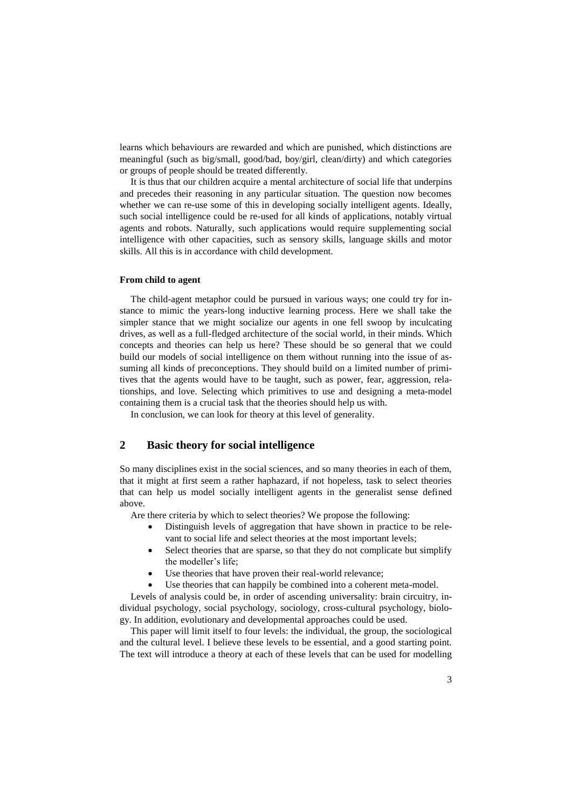learns which behaviours are rewarded and which are punished, which distinctions are meaningful (such as big/small, good/bad, boy/girl, clean/dirty) and which categories or groups of people should be treated differently.

It is thus that our children acquire a mental architecture of social life that underpins and precedes their reasoning in any particular situation. The question now becomes whether we can re-use some of this in developing socially intelligent agents. Ideally, such social intelligence could be re-used for all kinds of applications, notably virtual agents and robots. Naturally, such applications would require supplementing social intelligence with other capacities, such as sensory skills, language skills and motor skills. All this is in accordance with child development.

### **From child to agent**

The child-agent metaphor could be pursued in various ways; one could try for instance to mimic the years-long inductive learning process. Here we shall take the simpler stance that we might socialize our agents in one fell swoop by inculcating drives, as well as a full-fledged architecture of the social world, in their minds. Which concepts and theories can help us here? These should be so general that we could build our models of social intelligence on them without running into the issue of assuming all kinds of preconceptions. They should build on a limited number of primitives that the agents would have to be taught, such as power, fear, aggression, relationships, and love. Selecting which primitives to use and designing a meta-model containing them is a crucial task that the theories should help us with.

In conclusion, we can look for theory at this level of generality.

## **2 Basic theory for social intelligence**

So many disciplines exist in the social sciences, and so many theories in each of them, that it might at first seem a rather haphazard, if not hopeless, task to select theories that can help us model socially intelligent agents in the generalist sense defined above.

Are there criteria by which to select theories? We propose the following:

- Distinguish levels of aggregation that have shown in practice to be relevant to social life and select theories at the most important levels;
- Select theories that are sparse, so that they do not complicate but simplify the modeller's life;
- Use theories that have proven their real-world relevance;
- Use theories that can happily be combined into a coherent meta-model.

Levels of analysis could be, in order of ascending universality: brain circuitry, individual psychology, social psychology, sociology, cross-cultural psychology, biology. In addition, evolutionary and developmental approaches could be used.

This paper will limit itself to four levels: the individual, the group, the sociological and the cultural level. I believe these levels to be essential, and a good starting point. The text will introduce a theory at each of these levels that can be used for modelling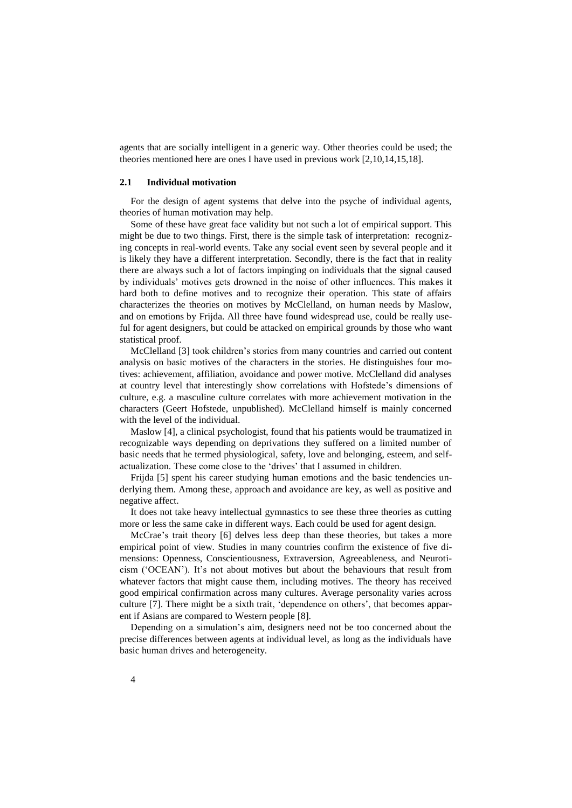agents that are socially intelligent in a generic way. Other theories could be used; the theories mentioned here are ones I have used in previous work [2,10,14,15,18].

#### **2.1 Individual motivation**

For the design of agent systems that delve into the psyche of individual agents, theories of human motivation may help.

Some of these have great face validity but not such a lot of empirical support. This might be due to two things. First, there is the simple task of interpretation: recognizing concepts in real-world events. Take any social event seen by several people and it is likely they have a different interpretation. Secondly, there is the fact that in reality there are always such a lot of factors impinging on individuals that the signal caused by individuals' motives gets drowned in the noise of other influences. This makes it hard both to define motives and to recognize their operation. This state of affairs characterizes the theories on motives by McClelland, on human needs by Maslow, and on emotions by Frijda. All three have found widespread use, could be really useful for agent designers, but could be attacked on empirical grounds by those who want statistical proof.

McClelland [\[3\]](#page-10-2) took children's stories from many countries and carried out content analysis on basic motives of the characters in the stories. He distinguishes four motives: achievement, affiliation, avoidance and power motive. McClelland did analyses at country level that interestingly show correlations with Hofstede's dimensions of culture, e.g. a masculine culture correlates with more achievement motivation in the characters (Geert Hofstede, unpublished). McClelland himself is mainly concerned with the level of the individual.

Maslow [\[4\]](#page-10-3), a clinical psychologist, found that his patients would be traumatized in recognizable ways depending on deprivations they suffered on a limited number of basic needs that he termed physiological, safety, love and belonging, esteem, and selfactualization. These come close to the 'drives' that I assumed in children.

Frijda [\[5\]](#page-10-4) spent his career studying human emotions and the basic tendencies underlying them. Among these, approach and avoidance are key, as well as positive and negative affect.

It does not take heavy intellectual gymnastics to see these three theories as cutting more or less the same cake in different ways. Each could be used for agent design.

McCrae's trait theory [\[6\]](#page-10-5) delves less deep than these theories, but takes a more empirical point of view. Studies in many countries confirm the existence of five dimensions: Openness, Conscientiousness, Extraversion, Agreeableness, and Neuroticism ('OCEAN'). It's not about motives but about the behaviours that result from whatever factors that might cause them, including motives. The theory has received good empirical confirmation across many cultures. Average personality varies across culture [\[7\]](#page-10-6). There might be a sixth trait, 'dependence on others', that becomes apparent if Asians are compared to Western people [\[8\]](#page-10-7).

Depending on a simulation's aim, designers need not be too concerned about the precise differences between agents at individual level, as long as the individuals have basic human drives and heterogeneity.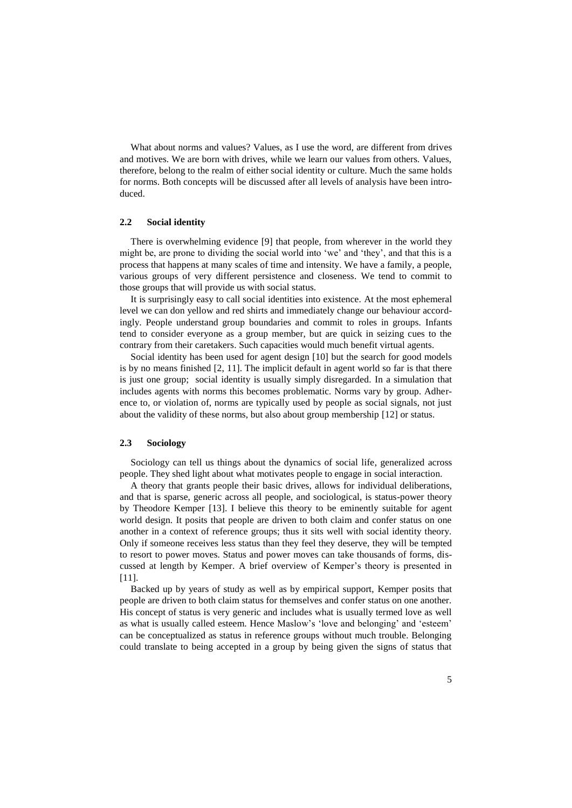What about norms and values? Values, as I use the word, are different from drives and motives. We are born with drives, while we learn our values from others. Values, therefore, belong to the realm of either social identity or culture. Much the same holds for norms. Both concepts will be discussed after all levels of analysis have been introduced.

### **2.2 Social identity**

There is overwhelming evidence [\[9\]](#page-10-8) that people, from wherever in the world they might be, are prone to dividing the social world into 'we' and 'they', and that this is a process that happens at many scales of time and intensity. We have a family, a people, various groups of very different persistence and closeness. We tend to commit to those groups that will provide us with social status.

It is surprisingly easy to call social identities into existence. At the most ephemeral level we can don yellow and red shirts and immediately change our behaviour accordingly. People understand group boundaries and commit to roles in groups. Infants tend to consider everyone as a group member, but are quick in seizing cues to the contrary from their caretakers. Such capacities would much benefit virtual agents.

Social identity has been used for agent design [\[10\]](#page-10-9) but the search for good models is by no means finished  $[2, 11]$  $[2, 11]$ . The implicit default in agent world so far is that there is just one group; social identity is usually simply disregarded. In a simulation that includes agents with norms this becomes problematic. Norms vary by group. Adherence to, or violation of, norms are typically used by people as social signals, not just about the validity of these norms, but also about group membership [\[12\]](#page-11-1) or status.

### **2.3 Sociology**

Sociology can tell us things about the dynamics of social life, generalized across people. They shed light about what motivates people to engage in social interaction.

A theory that grants people their basic drives, allows for individual deliberations, and that is sparse, generic across all people, and sociological, is status-power theory by Theodore Kemper [\[13\]](#page-11-2). I believe this theory to be eminently suitable for agent world design. It posits that people are driven to both claim and confer status on one another in a context of reference groups; thus it sits well with social identity theory. Only if someone receives less status than they feel they deserve, they will be tempted to resort to power moves. Status and power moves can take thousands of forms, discussed at length by Kemper. A brief overview of Kemper's theory is presented in [\[11\]](#page-11-0).

Backed up by years of study as well as by empirical support, Kemper posits that people are driven to both claim status for themselves and confer status on one another. His concept of status is very generic and includes what is usually termed love as well as what is usually called esteem. Hence Maslow's 'love and belonging' and 'esteem' can be conceptualized as status in reference groups without much trouble. Belonging could translate to being accepted in a group by being given the signs of status that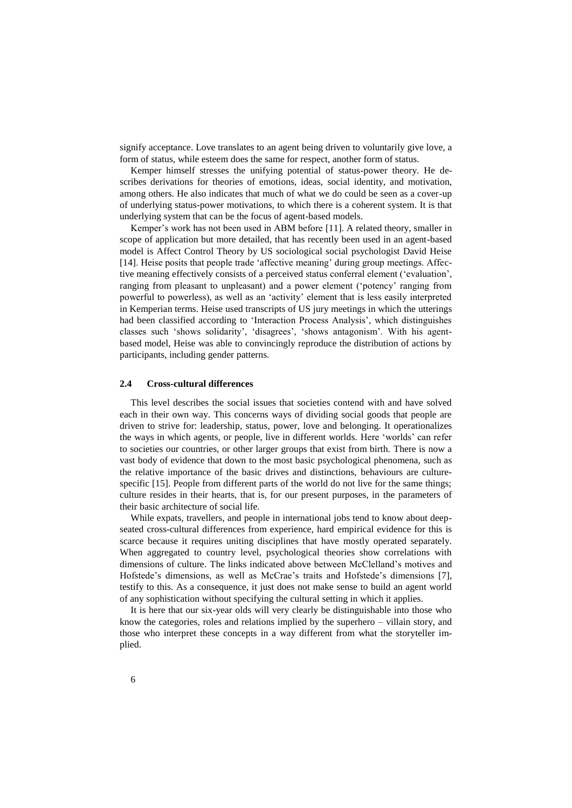signify acceptance. Love translates to an agent being driven to voluntarily give love, a form of status, while esteem does the same for respect, another form of status.

Kemper himself stresses the unifying potential of status-power theory. He describes derivations for theories of emotions, ideas, social identity, and motivation, among others. He also indicates that much of what we do could be seen as a cover-up of underlying status-power motivations, to which there is a coherent system. It is that underlying system that can be the focus of agent-based models.

Kemper's work has not been used in ABM before [\[11\]](#page-11-0). A related theory, smaller in scope of application but more detailed, that has recently been used in an agent-based model is Affect Control Theory by US sociological social psychologist David Heise [\[14\]](#page-11-3). Heise posits that people trade 'affective meaning' during group meetings. Affective meaning effectively consists of a perceived status conferral element ('evaluation', ranging from pleasant to unpleasant) and a power element ('potency' ranging from powerful to powerless), as well as an 'activity' element that is less easily interpreted in Kemperian terms. Heise used transcripts of US jury meetings in which the utterings had been classified according to 'Interaction Process Analysis', which distinguishes classes such 'shows solidarity', 'disagrees', 'shows antagonism'. With his agentbased model, Heise was able to convincingly reproduce the distribution of actions by participants, including gender patterns.

### **2.4 Cross-cultural differences**

This level describes the social issues that societies contend with and have solved each in their own way. This concerns ways of dividing social goods that people are driven to strive for: leadership, status, power, love and belonging. It operationalizes the ways in which agents, or people, live in different worlds. Here 'worlds' can refer to societies our countries, or other larger groups that exist from birth. There is now a vast body of evidence that down to the most basic psychological phenomena, such as the relative importance of the basic drives and distinctions, behaviours are culturespecific [\[15\]](#page-11-4). People from different parts of the world do not live for the same things; culture resides in their hearts, that is, for our present purposes, in the parameters of their basic architecture of social life.

While expats, travellers, and people in international jobs tend to know about deepseated cross-cultural differences from experience, hard empirical evidence for this is scarce because it requires uniting disciplines that have mostly operated separately. When aggregated to country level, psychological theories show correlations with dimensions of culture. The links indicated above between McClelland's motives and Hofstede's dimensions, as well as McCrae's traits and Hofstede's dimensions [\[7\]](#page-10-6), testify to this. As a consequence, it just does not make sense to build an agent world of any sophistication without specifying the cultural setting in which it applies.

It is here that our six-year olds will very clearly be distinguishable into those who know the categories, roles and relations implied by the superhero – villain story, and those who interpret these concepts in a way different from what the storyteller implied.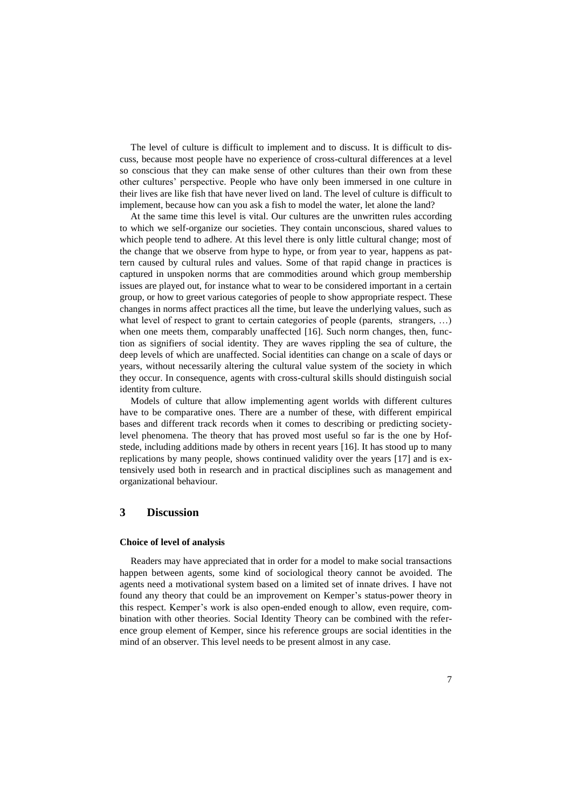The level of culture is difficult to implement and to discuss. It is difficult to discuss, because most people have no experience of cross-cultural differences at a level so conscious that they can make sense of other cultures than their own from these other cultures' perspective. People who have only been immersed in one culture in their lives are like fish that have never lived on land. The level of culture is difficult to implement, because how can you ask a fish to model the water, let alone the land?

At the same time this level is vital. Our cultures are the unwritten rules according to which we self-organize our societies. They contain unconscious, shared values to which people tend to adhere. At this level there is only little cultural change; most of the change that we observe from hype to hype, or from year to year, happens as pattern caused by cultural rules and values. Some of that rapid change in practices is captured in unspoken norms that are commodities around which group membership issues are played out, for instance what to wear to be considered important in a certain group, or how to greet various categories of people to show appropriate respect. These changes in norms affect practices all the time, but leave the underlying values, such as what level of respect to grant to certain categories of people (parents, strangers, ...) when one meets them, comparably unaffected [\[16\]](#page-11-5). Such norm changes, then, function as signifiers of social identity. They are waves rippling the sea of culture, the deep levels of which are unaffected. Social identities can change on a scale of days or years, without necessarily altering the cultural value system of the society in which they occur. In consequence, agents with cross-cultural skills should distinguish social identity from culture.

Models of culture that allow implementing agent worlds with different cultures have to be comparative ones. There are a number of these, with different empirical bases and different track records when it comes to describing or predicting societylevel phenomena. The theory that has proved most useful so far is the one by Hofstede, including additions made by others in recent years [\[16\]](#page-11-5). It has stood up to many replications by many people, shows continued validity over the years [\[17\]](#page-11-6) and is extensively used both in research and in practical disciplines such as management and organizational behaviour.

### **3 Discussion**

#### **Choice of level of analysis**

Readers may have appreciated that in order for a model to make social transactions happen between agents, some kind of sociological theory cannot be avoided. The agents need a motivational system based on a limited set of innate drives. I have not found any theory that could be an improvement on Kemper's status-power theory in this respect. Kemper's work is also open-ended enough to allow, even require, combination with other theories. Social Identity Theory can be combined with the reference group element of Kemper, since his reference groups are social identities in the mind of an observer. This level needs to be present almost in any case.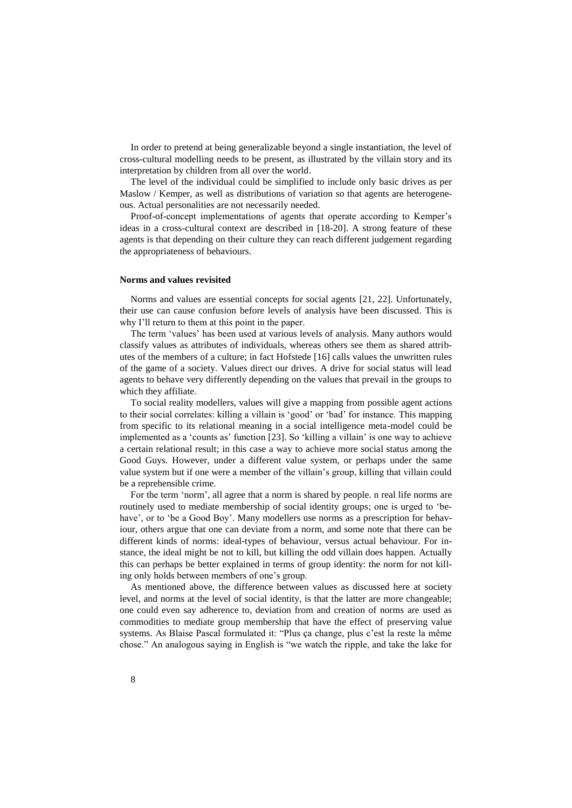In order to pretend at being generalizable beyond a single instantiation, the level of cross-cultural modelling needs to be present, as illustrated by the villain story and its interpretation by children from all over the world.

The level of the individual could be simplified to include only basic drives as per Maslow / Kemper, as well as distributions of variation so that agents are heterogeneous. Actual personalities are not necessarily needed.

Proof-of-concept implementations of agents that operate according to Kemper's ideas in a cross-cultural context are described in [\[18-20\]](#page-11-7). A strong feature of these agents is that depending on their culture they can reach different judgement regarding the appropriateness of behaviours.

#### **Norms and values revisited**

Norms and values are essential concepts for social agents [\[21,](#page-11-8) [22\]](#page-11-9). Unfortunately, their use can cause confusion before levels of analysis have been discussed. This is why I'll return to them at this point in the paper.

The term 'values' has been used at various levels of analysis. Many authors would classify values as attributes of individuals, whereas others see them as shared attributes of the members of a culture; in fact Hofstede [\[16\]](#page-11-5) calls values the unwritten rules of the game of a society. Values direct our drives. A drive for social status will lead agents to behave very differently depending on the values that prevail in the groups to which they affiliate.

To social reality modellers, values will give a mapping from possible agent actions to their social correlates: killing a villain is 'good' or 'bad' for instance. This mapping from specific to its relational meaning in a social intelligence meta-model could be implemented as a 'counts as' function [\[23\]](#page-11-10). So 'killing a villain' is one way to achieve a certain relational result; in this case a way to achieve more social status among the Good Guys. However, under a different value system, or perhaps under the same value system but if one were a member of the villain's group, killing that villain could be a reprehensible crime.

For the term 'norm', all agree that a norm is shared by people. n real life norms are routinely used to mediate membership of social identity groups; one is urged to 'behave', or to 'be a Good Boy'. Many modellers use norms as a prescription for behaviour, others argue that one can deviate from a norm, and some note that there can be different kinds of norms: ideal-types of behaviour, versus actual behaviour. For instance, the ideal might be not to kill, but killing the odd villain does happen. Actually this can perhaps be better explained in terms of group identity: the norm for not killing only holds between members of one's group.

As mentioned above, the difference between values as discussed here at society level, and norms at the level of social identity, is that the latter are more changeable; one could even say adherence to, deviation from and creation of norms are used as commodities to mediate group membership that have the effect of preserving value systems. As Blaise Pascal formulated it: "Plus ca change, plus c'est la reste la même chose." An analogous saying in English is "we watch the ripple, and take the lake for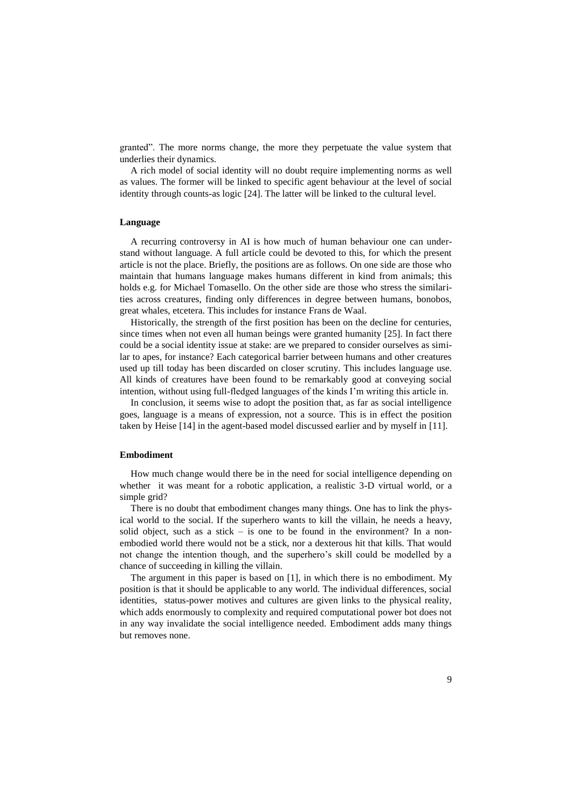granted". The more norms change, the more they perpetuate the value system that underlies their dynamics.

A rich model of social identity will no doubt require implementing norms as well as values. The former will be linked to specific agent behaviour at the level of social identity through counts-as logic [\[24\]](#page-11-11). The latter will be linked to the cultural level.

#### **Language**

A recurring controversy in AI is how much of human behaviour one can understand without language. A full article could be devoted to this, for which the present article is not the place. Briefly, the positions are as follows. On one side are those who maintain that humans language makes humans different in kind from animals; this holds e.g. for Michael Tomasello. On the other side are those who stress the similarities across creatures, finding only differences in degree between humans, bonobos, great whales, etcetera. This includes for instance Frans de Waal.

Historically, the strength of the first position has been on the decline for centuries, since times when not even all human beings were granted humanity [\[25\]](#page-11-12). In fact there could be a social identity issue at stake: are we prepared to consider ourselves as similar to apes, for instance? Each categorical barrier between humans and other creatures used up till today has been discarded on closer scrutiny. This includes language use. All kinds of creatures have been found to be remarkably good at conveying social intention, without using full-fledged languages of the kinds I'm writing this article in.

In conclusion, it seems wise to adopt the position that, as far as social intelligence goes, language is a means of expression, not a source. This is in effect the position taken by Heise [\[14\]](#page-11-3) in the agent-based model discussed earlier and by myself in [\[11\]](#page-11-0).

#### **Embodiment**

How much change would there be in the need for social intelligence depending on whether it was meant for a robotic application, a realistic 3-D virtual world, or a simple grid?

There is no doubt that embodiment changes many things. One has to link the physical world to the social. If the superhero wants to kill the villain, he needs a heavy, solid object, such as a stick – is one to be found in the environment? In a nonembodied world there would not be a stick, nor a dexterous hit that kills. That would not change the intention though, and the superhero's skill could be modelled by a chance of succeeding in killing the villain.

The argument in this paper is based on [1], in which there is no embodiment. My position is that it should be applicable to any world. The individual differences, social identities, status-power motives and cultures are given links to the physical reality, which adds enormously to complexity and required computational power bot does not in any way invalidate the social intelligence needed. Embodiment adds many things but removes none.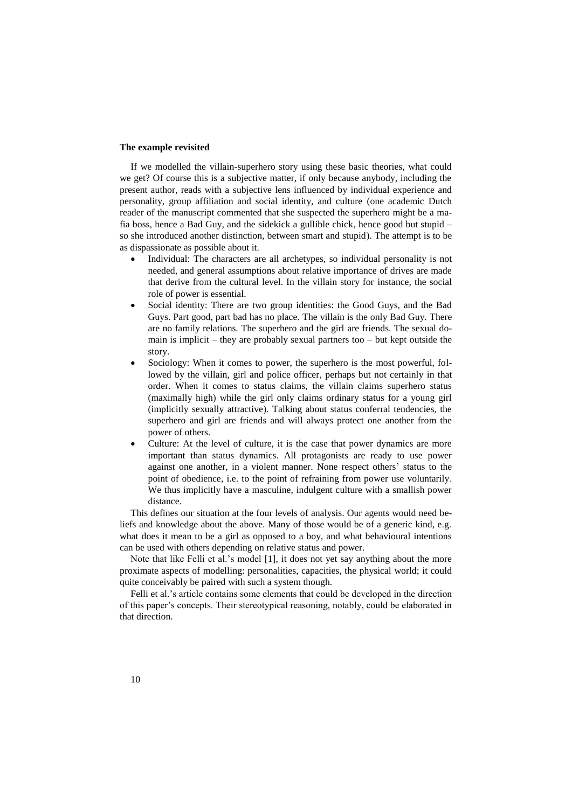### **The example revisited**

If we modelled the villain-superhero story using these basic theories, what could we get? Of course this is a subjective matter, if only because anybody, including the present author, reads with a subjective lens influenced by individual experience and personality, group affiliation and social identity, and culture (one academic Dutch reader of the manuscript commented that she suspected the superhero might be a mafia boss, hence a Bad Guy, and the sidekick a gullible chick, hence good but stupid – so she introduced another distinction, between smart and stupid). The attempt is to be as dispassionate as possible about it.

- Individual: The characters are all archetypes, so individual personality is not needed, and general assumptions about relative importance of drives are made that derive from the cultural level. In the villain story for instance, the social role of power is essential.
- Social identity: There are two group identities: the Good Guys, and the Bad Guys. Part good, part bad has no place. The villain is the only Bad Guy. There are no family relations. The superhero and the girl are friends. The sexual domain is implicit – they are probably sexual partners too – but kept outside the story.
- Sociology: When it comes to power, the superhero is the most powerful, followed by the villain, girl and police officer, perhaps but not certainly in that order. When it comes to status claims, the villain claims superhero status (maximally high) while the girl only claims ordinary status for a young girl (implicitly sexually attractive). Talking about status conferral tendencies, the superhero and girl are friends and will always protect one another from the power of others.
- Culture: At the level of culture, it is the case that power dynamics are more important than status dynamics. All protagonists are ready to use power against one another, in a violent manner. None respect others' status to the point of obedience, i.e. to the point of refraining from power use voluntarily. We thus implicitly have a masculine, indulgent culture with a smallish power distance.

This defines our situation at the four levels of analysis. Our agents would need beliefs and knowledge about the above. Many of those would be of a generic kind, e.g. what does it mean to be a girl as opposed to a boy, and what behavioural intentions can be used with others depending on relative status and power.

Note that like Felli et al.'s model [\[1\]](#page-10-0), it does not yet say anything about the more proximate aspects of modelling: personalities, capacities, the physical world; it could quite conceivably be paired with such a system though.

Felli et al.'s article contains some elements that could be developed in the direction of this paper's concepts. Their stereotypical reasoning, notably, could be elaborated in that direction.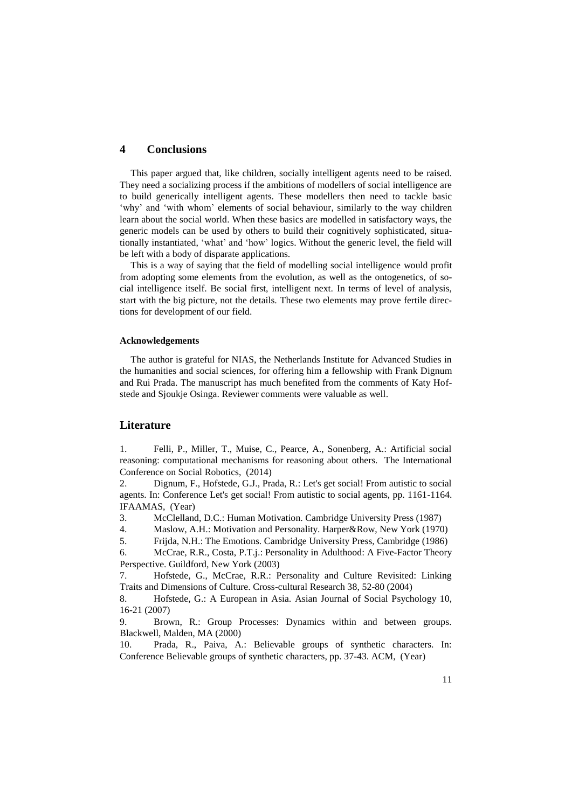## **4 Conclusions**

This paper argued that, like children, socially intelligent agents need to be raised. They need a socializing process if the ambitions of modellers of social intelligence are to build generically intelligent agents. These modellers then need to tackle basic 'why' and 'with whom' elements of social behaviour, similarly to the way children learn about the social world. When these basics are modelled in satisfactory ways, the generic models can be used by others to build their cognitively sophisticated, situationally instantiated, 'what' and 'how' logics. Without the generic level, the field will be left with a body of disparate applications.

This is a way of saying that the field of modelling social intelligence would profit from adopting some elements from the evolution, as well as the ontogenetics, of social intelligence itself. Be social first, intelligent next. In terms of level of analysis, start with the big picture, not the details. These two elements may prove fertile directions for development of our field.

### **Acknowledgements**

The author is grateful for NIAS, the Netherlands Institute for Advanced Studies in the humanities and social sciences, for offering him a fellowship with Frank Dignum and Rui Prada. The manuscript has much benefited from the comments of Katy Hofstede and Sjoukje Osinga. Reviewer comments were valuable as well.

### **Literature**

<span id="page-10-0"></span>1. Felli, P., Miller, T., Muise, C., Pearce, A., Sonenberg, A.: Artificial social reasoning: computational mechanisms for reasoning about others. The International Conference on Social Robotics, (2014)

<span id="page-10-1"></span>2. Dignum, F., Hofstede, G.J., Prada, R.: Let's get social! From autistic to social agents. In: Conference Let's get social! From autistic to social agents, pp. 1161-1164. IFAAMAS, (Year)

<span id="page-10-2"></span>3. McClelland, D.C.: Human Motivation. Cambridge University Press (1987)

<span id="page-10-3"></span>4. Maslow, A.H.: Motivation and Personality. Harper&Row, New York (1970)

<span id="page-10-4"></span>5. Frijda, N.H.: The Emotions. Cambridge University Press, Cambridge (1986)

<span id="page-10-5"></span>6. McCrae, R.R., Costa, P.T.j.: Personality in Adulthood: A Five-Factor Theory Perspective. Guildford, New York (2003)

<span id="page-10-6"></span>7. Hofstede, G., McCrae, R.R.: Personality and Culture Revisited: Linking Traits and Dimensions of Culture. Cross-cultural Research 38, 52-80 (2004)

<span id="page-10-7"></span>8. Hofstede, G.: A European in Asia. Asian Journal of Social Psychology 10, 16-21 (2007)

<span id="page-10-8"></span>9. Brown, R.: Group Processes: Dynamics within and between groups. Blackwell, Malden, MA (2000)

<span id="page-10-9"></span>10. Prada, R., Paiva, A.: Believable groups of synthetic characters. In: Conference Believable groups of synthetic characters, pp. 37-43. ACM, (Year)